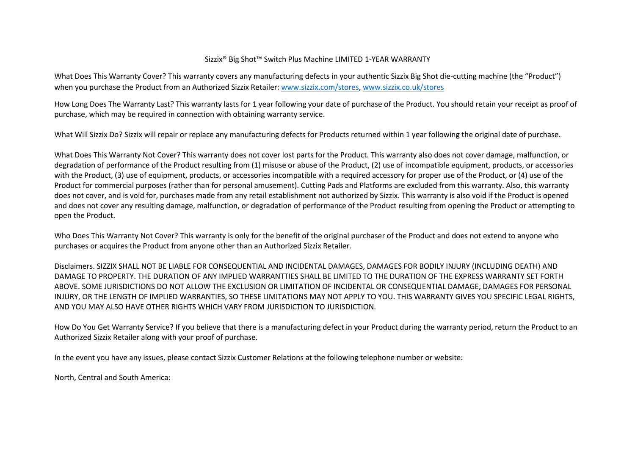## Sizzix® Big Shot™ Switch Plus Machine LIMITED 1-YEAR WARRANTY

What Does This Warranty Cover? This warranty covers any manufacturing defects in your authentic Sizzix Big Shot die-cutting machine (the "Product") when you purchase the Product from an Authorized Sizzix Retailer: [www.sizzix.com/stores,](http://www.sizzix.com/stores) [www.sizzix.co.uk/stores](http://www.sizzix.co.uk/stores)

How Long Does The Warranty Last? This warranty lasts for 1 year following your date of purchase of the Product. You should retain your receipt as proof of purchase, which may be required in connection with obtaining warranty service.

What Will Sizzix Do? Sizzix will repair or replace any manufacturing defects for Products returned within 1 year following the original date of purchase.

What Does This Warranty Not Cover? This warranty does not cover lost parts for the Product. This warranty also does not cover damage, malfunction, or degradation of performance of the Product resulting from (1) misuse or abuse of the Product, (2) use of incompatible equipment, products, or accessories with the Product, (3) use of equipment, products, or accessories incompatible with a required accessory for proper use of the Product, or (4) use of the Product for commercial purposes (rather than for personal amusement). Cutting Pads and Platforms are excluded from this warranty. Also, this warranty does not cover, and is void for, purchases made from any retail establishment not authorized by Sizzix. This warranty is also void if the Product is opened and does not cover any resulting damage, malfunction, or degradation of performance of the Product resulting from opening the Product or attempting to open the Product.

Who Does This Warranty Not Cover? This warranty is only for the benefit of the original purchaser of the Product and does not extend to anyone who purchases or acquires the Product from anyone other than an Authorized Sizzix Retailer.

Disclaimers. SIZZIX SHALL NOT BE LIABLE FOR CONSEQUENTIAL AND INCIDENTAL DAMAGES, DAMAGES FOR BODILY INJURY (INCLUDING DEATH) AND DAMAGE TO PROPERTY. THE DURATION OF ANY IMPLIED WARRANTTIES SHALL BE LIMITED TO THE DURATION OF THE EXPRESS WARRANTY SET FORTH ABOVE. SOME JURISDICTIONS DO NOT ALLOW THE EXCLUSION OR LIMITATION OF INCIDENTAL OR CONSEQUENTIAL DAMAGE, DAMAGES FOR PERSONAL INJURY, OR THE LENGTH OF IMPLIED WARRANTIES, SO THESE LIMITATIONS MAY NOT APPLY TO YOU. THIS WARRANTY GIVES YOU SPECIFIC LEGAL RIGHTS, AND YOU MAY ALSO HAVE OTHER RIGHTS WHICH VARY FROM JURISDICTION TO JURISDICTION.

How Do You Get Warranty Service? If you believe that there is a manufacturing defect in your Product during the warranty period, return the Product to an Authorized Sizzix Retailer along with your proof of purchase.

In the event you have any issues, please contact Sizzix Customer Relations at the following telephone number or website:

North, Central and South America: